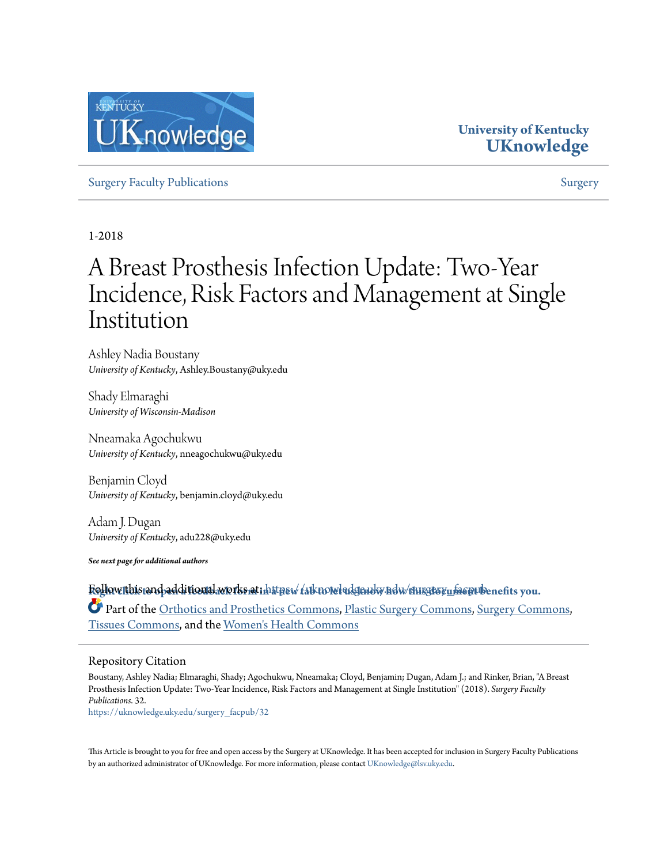

# **University of Kentucky [UKnowledge](https://uknowledge.uky.edu?utm_source=uknowledge.uky.edu%2Fsurgery_facpub%2F32&utm_medium=PDF&utm_campaign=PDFCoverPages)**

[Surgery Faculty Publications](https://uknowledge.uky.edu/surgery_facpub?utm_source=uknowledge.uky.edu%2Fsurgery_facpub%2F32&utm_medium=PDF&utm_campaign=PDFCoverPages) **[Surgery](https://uknowledge.uky.edu/surgery?utm_source=uknowledge.uky.edu%2Fsurgery_facpub%2F32&utm_medium=PDF&utm_campaign=PDFCoverPages)** Surgery Surgery Surgery Surgery Surgery Surgery

1-2018

# A Breast Prosthesis Infection Update: Two-Year Incidence, Risk Factors and Management at Single Institution

Ashley Nadia Boustany *University of Kentucky*, Ashley.Boustany@uky.edu

Shady Elmaraghi *University of Wisconsin-Madison*

Nneamaka Agochukwu *University of Kentucky*, nneagochukwu@uky.edu

Benjamin Cloyd *University of Kentucky*, benjamin.cloyd@uky.edu

Adam J. Dugan *University of Kentucky*, adu228@uky.edu

*See next page for additional authors*

Rollow this and additional works at instrew *t* uknowledgen by how this a to runent benefits you. Part of the [Orthotics and Prosthetics Commons](http://network.bepress.com/hgg/discipline/753?utm_source=uknowledge.uky.edu%2Fsurgery_facpub%2F32&utm_medium=PDF&utm_campaign=PDFCoverPages), [Plastic Surgery Commons,](http://network.bepress.com/hgg/discipline/701?utm_source=uknowledge.uky.edu%2Fsurgery_facpub%2F32&utm_medium=PDF&utm_campaign=PDFCoverPages) [Surgery Commons](http://network.bepress.com/hgg/discipline/706?utm_source=uknowledge.uky.edu%2Fsurgery_facpub%2F32&utm_medium=PDF&utm_campaign=PDFCoverPages), [Tissues Commons](http://network.bepress.com/hgg/discipline/1005?utm_source=uknowledge.uky.edu%2Fsurgery_facpub%2F32&utm_medium=PDF&utm_campaign=PDFCoverPages), and the [Women's Health Commons](http://network.bepress.com/hgg/discipline/1241?utm_source=uknowledge.uky.edu%2Fsurgery_facpub%2F32&utm_medium=PDF&utm_campaign=PDFCoverPages)

## Repository Citation

Boustany, Ashley Nadia; Elmaraghi, Shady; Agochukwu, Nneamaka; Cloyd, Benjamin; Dugan, Adam J.; and Rinker, Brian, "A Breast Prosthesis Infection Update: Two-Year Incidence, Risk Factors and Management at Single Institution" (2018). *Surgery Faculty Publications*. 32.

[https://uknowledge.uky.edu/surgery\\_facpub/32](https://uknowledge.uky.edu/surgery_facpub/32?utm_source=uknowledge.uky.edu%2Fsurgery_facpub%2F32&utm_medium=PDF&utm_campaign=PDFCoverPages)

This Article is brought to you for free and open access by the Surgery at UKnowledge. It has been accepted for inclusion in Surgery Faculty Publications by an authorized administrator of UKnowledge. For more information, please contact [UKnowledge@lsv.uky.edu](mailto:UKnowledge@lsv.uky.edu).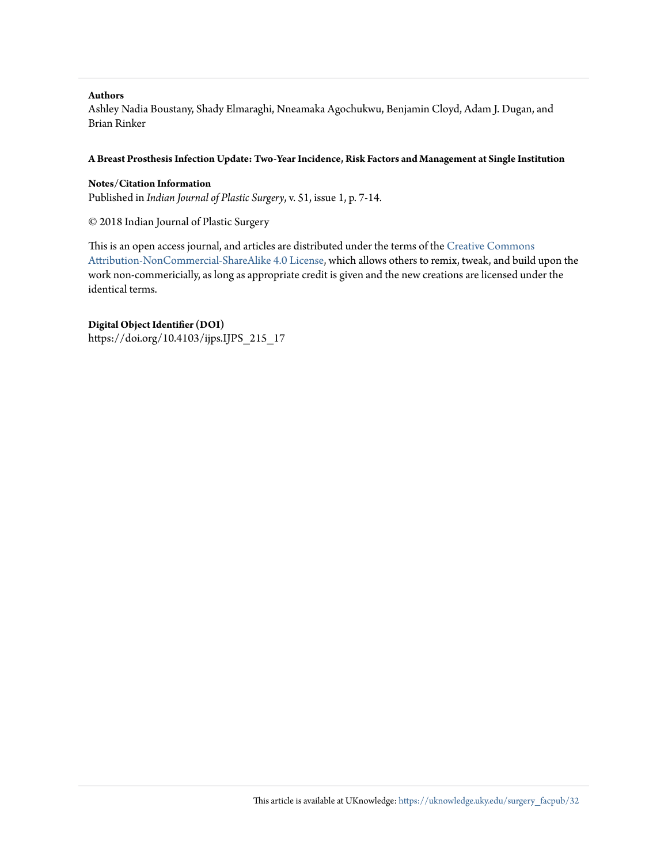## **Authors**

Ashley Nadia Boustany, Shady Elmaraghi, Nneamaka Agochukwu, Benjamin Cloyd, Adam J. Dugan, and Brian Rinker

### **A Breast Prosthesis Infection Update: Two-Year Incidence, Risk Factors and Management at Single Institution**

## **Notes/Citation Information** Published in *Indian Journal of Plastic Surgery*, v. 51, issue 1, p. 7-14.

© 2018 Indian Journal of Plastic Surgery

This is an open access journal, and articles are distributed under the terms of the [Creative Commons](https://creativecommons.org/licenses/by-nc-sa/4.0/) [Attribution-NonCommercial-ShareAlike 4.0 License,](https://creativecommons.org/licenses/by-nc-sa/4.0/) which allows others to remix, tweak, and build upon the work non-commericially, as long as appropriate credit is given and the new creations are licensed under the identical terms.

## **Digital Object Identifier (DOI)**

https://doi.org/10.4103/ijps.IJPS\_215\_17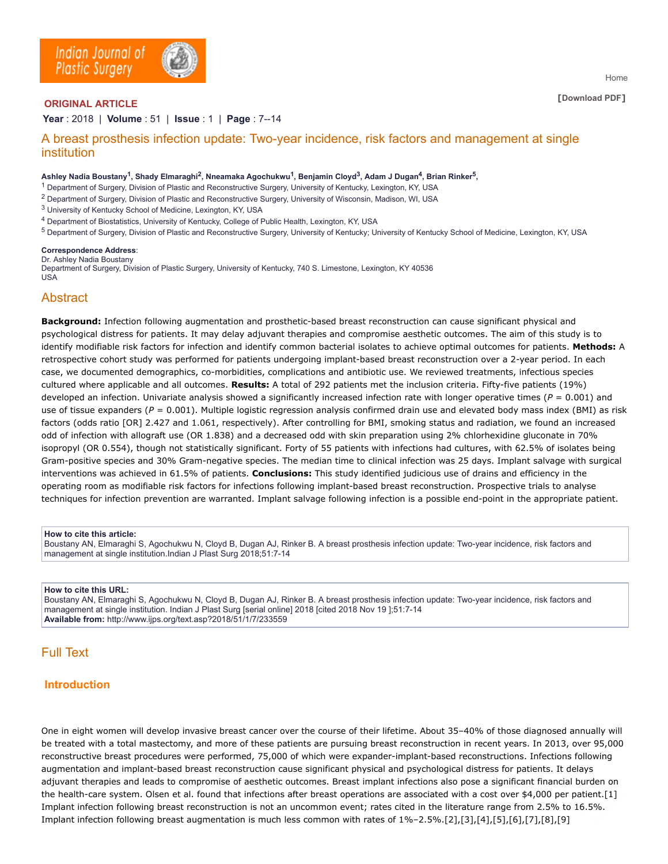# **ORIGINAL ARTICLE [[Download PDF](http://www.ijps.org/article.asp?issn=0970-0358;year=2018;volume=51;issue=1;spage=7;epage=14;aulast=Boustany;type=2)]**

**Year** : 2018 | **Volume** : 51 | **Issue** : 1 | **Page** : 7--14

## A breast prosthesis infection update: Two-year incidence, risk factors and management at single institution

#### $\Delta$ Shley Nadia Boustany $^1$ , Shady Elmaraghi<sup>2</sup>, Nneamaka Agochukwu $^1$ , Benjamin Cloyd $^3$ , Adam J Dugan $^4$ , Brian Rinker $^5$ ,

<sup>1</sup> Department of Surgery, Division of Plastic and Reconstructive Surgery, University of Kentucky, Lexington, KY, USA

- <sup>2</sup> Department of Surgery, Division of Plastic and Reconstructive Surgery, University of Wisconsin, Madison, WI, USA
- <sup>3</sup> University of Kentucky School of Medicine, Lexington, KY, USA
- 4 Department of Biostatistics, University of Kentucky, College of Public Health, Lexington, KY, USA
- 5 Department of Surgery, Division of Plastic and Reconstructive Surgery, University of Kentucky; University of Kentucky School of Medicine, Lexington, KY, USA

#### **Correspondence Address**:

Dr. Ashley Nadia Boustany Department of Surgery, Division of Plastic Surgery, University of Kentucky, 740 S. Limestone, Lexington, KY 40536 USA

## Abstract

**Background:** Infection following augmentation and prosthetic-based breast reconstruction can cause significant physical and psychological distress for patients. It may delay adjuvant therapies and compromise aesthetic outcomes. The aim of this study is to identify modifiable risk factors for infection and identify common bacterial isolates to achieve optimal outcomes for patients. **Methods:** A retrospective cohort study was performed for patients undergoing implant-based breast reconstruction over a 2-year period. In each case, we documented demographics, co-morbidities, complications and antibiotic use. We reviewed treatments, infectious species cultured where applicable and all outcomes. **Results:** A total of 292 patients met the inclusion criteria. Fifty-five patients (19%) developed an infection. Univariate analysis showed a significantly increased infection rate with longer operative times  $(P = 0.001)$  and use of tissue expanders ( $P = 0.001$ ). Multiple logistic regression analysis confirmed drain use and elevated body mass index (BMI) as risk factors (odds ratio [OR] 2.427 and 1.061, respectively). After controlling for BMI, smoking status and radiation, we found an increased odd of infection with allograft use (OR 1.838) and a decreased odd with skin preparation using 2% chlorhexidine gluconate in 70% isopropyl (OR 0.554), though not statistically significant. Forty of 55 patients with infections had cultures, with 62.5% of isolates being Gram-positive species and 30% Gram-negative species. The median time to clinical infection was 25 days. Implant salvage with surgical interventions was achieved in 61.5% of patients. **Conclusions:** This study identified judicious use of drains and efficiency in the operating room as modifiable risk factors for infections following implant-based breast reconstruction. Prospective trials to analyse techniques for infection prevention are warranted. Implant salvage following infection is a possible end-point in the appropriate patient.

#### **How to cite this article:**

Boustany AN, Elmaraghi S, Agochukwu N, Cloyd B, Dugan AJ, Rinker B. A breast prosthesis infection update: Two-year incidence, risk factors and management at single institution.Indian J Plast Surg 2018;51:7-14

#### **How to cite this URL:**

Boustany AN, Elmaraghi S, Agochukwu N, Cloyd B, Dugan AJ, Rinker B. A breast prosthesis infection update: Two-year incidence, risk factors and management at single institution. Indian J Plast Surg [serial online] 2018 [cited 2018 Nov 19 ];51:7-14 **Available from:** http://www.ijps.org/text.asp?2018/51/1/7/233559

## Full Text

## **Introduction**

One in eight women will develop invasive breast cancer over the course of their lifetime. About 35–40% of those diagnosed annually will be treated with a total mastectomy, and more of these patients are pursuing breast reconstruction in recent years. In 2013, over 95,000 reconstructive breast procedures were performed, 75,000 of which were expander-implant-based reconstructions. Infections following augmentation and implant-based breast reconstruction cause significant physical and psychological distress for patients. It delays adjuvant therapies and leads to compromise of aesthetic outcomes. Breast implant infections also pose a significant financial burden on the health-care system. Olsen et al. found that infections after breast operations are associated with a cost over \$4,000 per patient.[1] Implant infection following breast reconstruction is not an uncommon event; rates cited in the literature range from 2.5% to 16.5%. Implant infection following breast augmentation is much less common with rates of 1%–2.5%.[2],[3],[4],[5],[6],[7],[8],[9]

[Home](http://www.ijps.org/default.asp)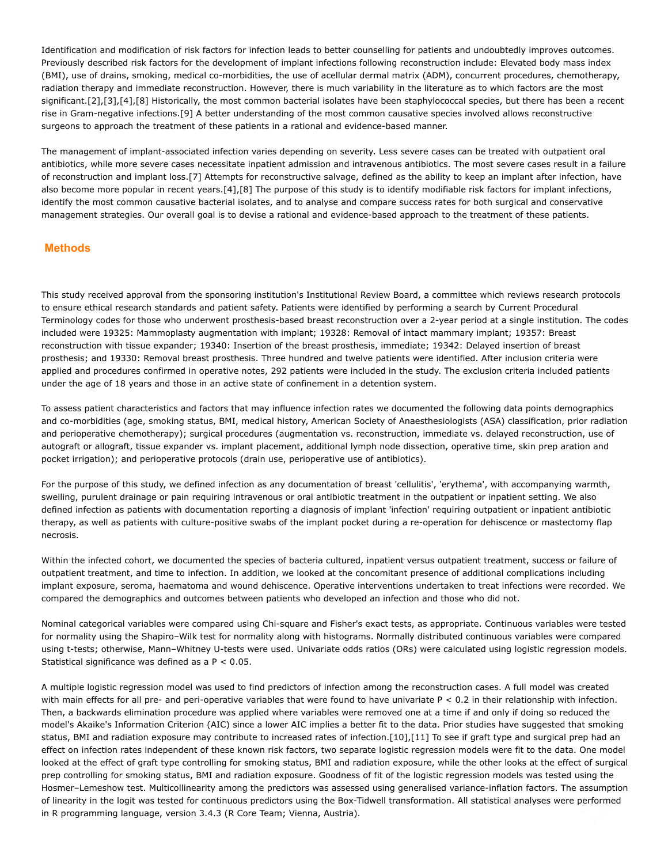Identification and modification of risk factors for infection leads to better counselling for patients and undoubtedly improves outcomes. Previously described risk factors for the development of implant infections following reconstruction include: Elevated body mass index (BMI), use of drains, smoking, medical co-morbidities, the use of acellular dermal matrix (ADM), concurrent procedures, chemotherapy, radiation therapy and immediate reconstruction. However, there is much variability in the literature as to which factors are the most significant.[2],[3],[4],[8] Historically, the most common bacterial isolates have been staphylococcal species, but there has been a recent rise in Gram-negative infections.[9] A better understanding of the most common causative species involved allows reconstructive surgeons to approach the treatment of these patients in a rational and evidence-based manner.

The management of implant-associated infection varies depending on severity. Less severe cases can be treated with outpatient oral antibiotics, while more severe cases necessitate inpatient admission and intravenous antibiotics. The most severe cases result in a failure of reconstruction and implant loss.[7] Attempts for reconstructive salvage, defined as the ability to keep an implant after infection, have also become more popular in recent years.[4],[8] The purpose of this study is to identify modifiable risk factors for implant infections, identify the most common causative bacterial isolates, and to analyse and compare success rates for both surgical and conservative management strategies. Our overall goal is to devise a rational and evidence-based approach to the treatment of these patients.

## **Methods**

This study received approval from the sponsoring institution's Institutional Review Board, a committee which reviews research protocols to ensure ethical research standards and patient safety. Patients were identified by performing a search by Current Procedural Terminology codes for those who underwent prosthesis-based breast reconstruction over a 2-year period at a single institution. The codes included were 19325: Mammoplasty augmentation with implant; 19328: Removal of intact mammary implant; 19357: Breast reconstruction with tissue expander; 19340: Insertion of the breast prosthesis, immediate; 19342: Delayed insertion of breast prosthesis; and 19330: Removal breast prosthesis. Three hundred and twelve patients were identified. After inclusion criteria were applied and procedures confirmed in operative notes, 292 patients were included in the study. The exclusion criteria included patients under the age of 18 years and those in an active state of confinement in a detention system.

To assess patient characteristics and factors that may influence infection rates we documented the following data points demographics and co-morbidities (age, smoking status, BMI, medical history, American Society of Anaesthesiologists (ASA) classification, prior radiation and perioperative chemotherapy); surgical procedures (augmentation vs. reconstruction, immediate vs. delayed reconstruction, use of autograft or allograft, tissue expander vs. implant placement, additional lymph node dissection, operative time, skin prep aration and pocket irrigation); and perioperative protocols (drain use, perioperative use of antibiotics).

For the purpose of this study, we defined infection as any documentation of breast 'cellulitis', 'erythema', with accompanying warmth, swelling, purulent drainage or pain requiring intravenous or oral antibiotic treatment in the outpatient or inpatient setting. We also defined infection as patients with documentation reporting a diagnosis of implant 'infection' requiring outpatient or inpatient antibiotic therapy, as well as patients with culture-positive swabs of the implant pocket during a re-operation for dehiscence or mastectomy flap necrosis.

Within the infected cohort, we documented the species of bacteria cultured, inpatient versus outpatient treatment, success or failure of outpatient treatment, and time to infection. In addition, we looked at the concomitant presence of additional complications including implant exposure, seroma, haematoma and wound dehiscence. Operative interventions undertaken to treat infections were recorded. We compared the demographics and outcomes between patients who developed an infection and those who did not.

Nominal categorical variables were compared using Chi-square and Fisher's exact tests, as appropriate. Continuous variables were tested for normality using the Shapiro–Wilk test for normality along with histograms. Normally distributed continuous variables were compared using t-tests; otherwise, Mann–Whitney U-tests were used. Univariate odds ratios (ORs) were calculated using logistic regression models. Statistical significance was defined as a P < 0.05.

A multiple logistic regression model was used to find predictors of infection among the reconstruction cases. A full model was created with main effects for all pre- and peri-operative variables that were found to have univariate  $P < 0.2$  in their relationship with infection. Then, a backwards elimination procedure was applied where variables were removed one at a time if and only if doing so reduced the model's Akaike's Information Criterion (AIC) since a lower AIC implies a better fit to the data. Prior studies have suggested that smoking status, BMI and radiation exposure may contribute to increased rates of infection.[10],[11] To see if graft type and surgical prep had an effect on infection rates independent of these known risk factors, two separate logistic regression models were fit to the data. One model looked at the effect of graft type controlling for smoking status, BMI and radiation exposure, while the other looks at the effect of surgical prep controlling for smoking status, BMI and radiation exposure. Goodness of fit of the logistic regression models was tested using the Hosmer–Lemeshow test. Multicollinearity among the predictors was assessed using generalised variance-inflation factors. The assumption of linearity in the logit was tested for continuous predictors using the Box-Tidwell transformation. All statistical analyses were performed in R programming language, version 3.4.3 (R Core Team; Vienna, Austria).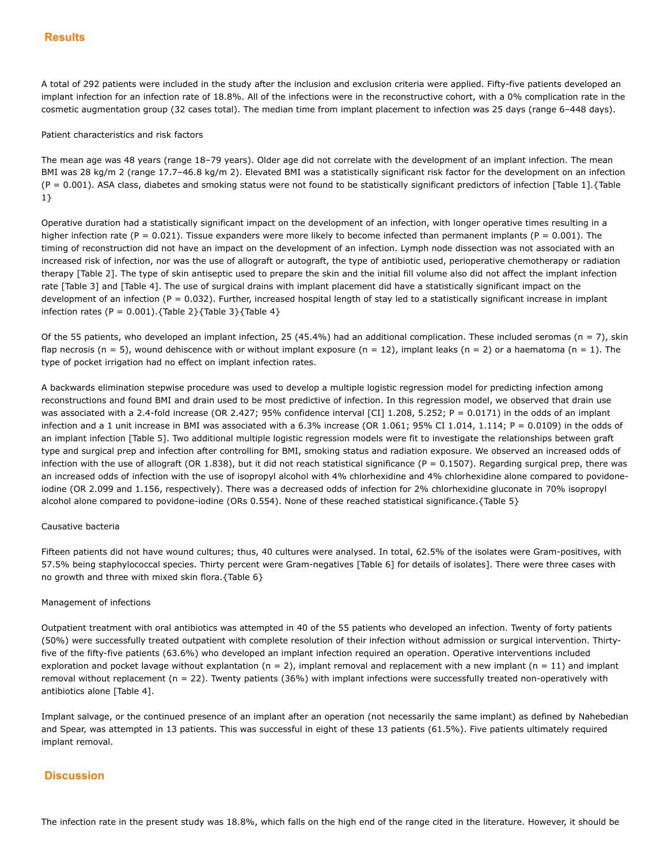A total of 292 patients were included in the study after the inclusion and exclusion criteria were applied. Fifty-five patients developed an implant infection for an infection rate of 18.8%. All of the infections were in the reconstructive cohort, with a 0% complication rate in the cosmetic augmentation group (32 cases total). The median time from implant placement to infection was 25 days (range 6–448 days).

Patient characteristics and risk factors

The mean age was 48 years (range 18–79 years). Older age did not correlate with the development of an implant infection. The mean BMI was 28 kg/m 2 (range 17.7–46.8 kg/m 2). Elevated BMI was a statistically significant risk factor for the development on an infection  $(P = 0.001)$ . ASA class, diabetes and smoking status were not found to be statistically significant predictors of infection [Table 1]. {Table 1}

Operative duration had a statistically significant impact on the development of an infection, with longer operative times resulting in a higher infection rate (P = 0.021). Tissue expanders were more likely to become infected than permanent implants (P = 0.001). The timing of reconstruction did not have an impact on the development of an infection. Lymph node dissection was not associated with an increased risk of infection, nor was the use of allograft or autograft, the type of antibiotic used, perioperative chemotherapy or radiation therapy [Table 2]. The type of skin antiseptic used to prepare the skin and the initial fill volume also did not affect the implant infection rate [Table 3] and [Table 4]. The use of surgical drains with implant placement did have a statistically significant impact on the development of an infection ( $P = 0.032$ ). Further, increased hospital length of stay led to a statistically significant increase in implant infection rates (P =  $0.001$ ). {Table 2} {Table 3} {Table 4}

Of the 55 patients, who developed an implant infection, 25 (45.4%) had an additional complication. These included seromas ( $n = 7$ ), skin flap necrosis (n = 5), wound dehiscence with or without implant exposure (n = 12), implant leaks (n = 2) or a haematoma (n = 1). The type of pocket irrigation had no effect on implant infection rates.

A backwards elimination stepwise procedure was used to develop a multiple logistic regression model for predicting infection among reconstructions and found BMI and drain used to be most predictive of infection. In this regression model, we observed that drain use was associated with a 2.4-fold increase (OR 2.427; 95% confidence interval [CI] 1.208, 5.252; P = 0.0171) in the odds of an implant infection and a 1 unit increase in BMI was associated with a 6.3% increase (OR 1.061; 95% CI 1.014, 1.114; P = 0.0109) in the odds of an implant infection [Table 5]. Two additional multiple logistic regression models were fit to investigate the relationships between graft type and surgical prep and infection after controlling for BMI, smoking status and radiation exposure. We observed an increased odds of infection with the use of allograft (OR 1.838), but it did not reach statistical significance (P = 0.1507). Regarding surgical prep, there was an increased odds of infection with the use of isopropyl alcohol with 4% chlorhexidine and 4% chlorhexidine alone compared to povidoneiodine (OR 2.099 and 1.156, respectively). There was a decreased odds of infection for 2% chlorhexidine gluconate in 70% isopropyl alcohol alone compared to povidone-iodine (ORs 0.554). None of these reached statistical significance.{Table 5}

#### Causative bacteria

Fifteen patients did not have wound cultures; thus, 40 cultures were analysed. In total, 62.5% of the isolates were Gram-positives, with 57.5% being staphylococcal species. Thirty percent were Gram-negatives [Table 6] for details of isolates]. There were three cases with no growth and three with mixed skin flora.{Table 6}

#### Management of infections

Outpatient treatment with oral antibiotics was attempted in 40 of the 55 patients who developed an infection. Twenty of forty patients (50%) were successfully treated outpatient with complete resolution of their infection without admission or surgical intervention. Thirtyfive of the fifty-five patients (63.6%) who developed an implant infection required an operation. Operative interventions included exploration and pocket lavage without explantation ( $n = 2$ ), implant removal and replacement with a new implant ( $n = 11$ ) and implant removal without replacement (n = 22). Twenty patients (36%) with implant infections were successfully treated non-operatively with antibiotics alone [Table 4].

Implant salvage, or the continued presence of an implant after an operation (not necessarily the same implant) as defined by Nahebedian and Spear, was attempted in 13 patients. This was successful in eight of these 13 patients (61.5%). Five patients ultimately required implant removal.

## **Discussion**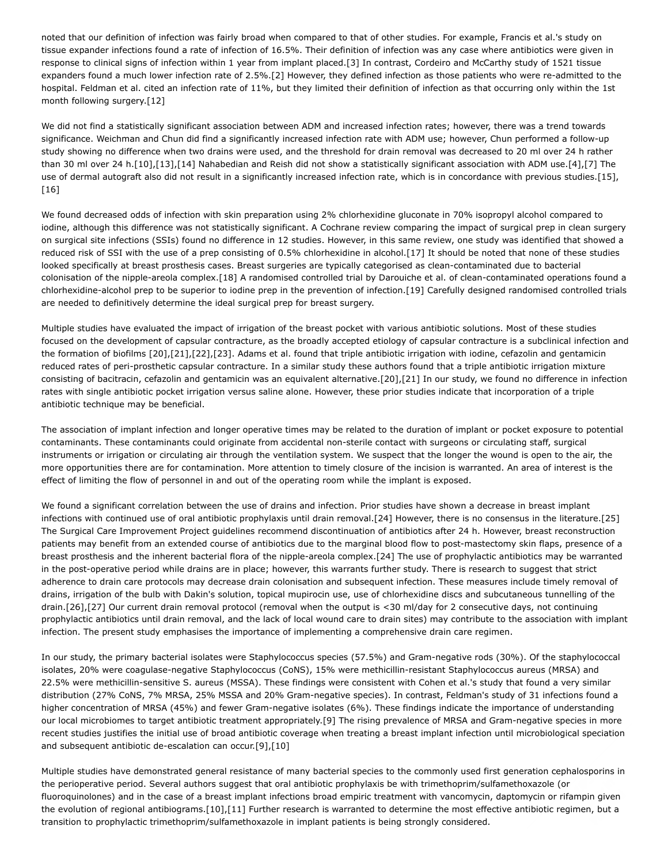noted that our definition of infection was fairly broad when compared to that of other studies. For example, Francis et al.'s study on tissue expander infections found a rate of infection of 16.5%. Their definition of infection was any case where antibiotics were given in response to clinical signs of infection within 1 year from implant placed.[3] In contrast, Cordeiro and McCarthy study of 1521 tissue expanders found a much lower infection rate of 2.5%.[2] However, they defined infection as those patients who were re-admitted to the hospital. Feldman et al. cited an infection rate of 11%, but they limited their definition of infection as that occurring only within the 1st month following surgery.[12]

We did not find a statistically significant association between ADM and increased infection rates; however, there was a trend towards significance. Weichman and Chun did find a significantly increased infection rate with ADM use; however, Chun performed a follow-up study showing no difference when two drains were used, and the threshold for drain removal was decreased to 20 ml over 24 h rather than 30 ml over 24 h.[10],[13],[14] Nahabedian and Reish did not show a statistically significant association with ADM use.[4],[7] The use of dermal autograft also did not result in a significantly increased infection rate, which is in concordance with previous studies.[15], [16]

We found decreased odds of infection with skin preparation using 2% chlorhexidine gluconate in 70% isopropyl alcohol compared to iodine, although this difference was not statistically significant. A Cochrane review comparing the impact of surgical prep in clean surgery on surgical site infections (SSIs) found no difference in 12 studies. However, in this same review, one study was identified that showed a reduced risk of SSI with the use of a prep consisting of 0.5% chlorhexidine in alcohol.[17] It should be noted that none of these studies looked specifically at breast prosthesis cases. Breast surgeries are typically categorised as clean-contaminated due to bacterial colonisation of the nipple-areola complex.[18] A randomised controlled trial by Darouiche et al. of clean-contaminated operations found a chlorhexidine-alcohol prep to be superior to iodine prep in the prevention of infection.[19] Carefully designed randomised controlled trials are needed to definitively determine the ideal surgical prep for breast surgery.

Multiple studies have evaluated the impact of irrigation of the breast pocket with various antibiotic solutions. Most of these studies focused on the development of capsular contracture, as the broadly accepted etiology of capsular contracture is a subclinical infection and the formation of biofilms [20],[21],[22],[23]. Adams et al. found that triple antibiotic irrigation with iodine, cefazolin and gentamicin reduced rates of peri-prosthetic capsular contracture. In a similar study these authors found that a triple antibiotic irrigation mixture consisting of bacitracin, cefazolin and gentamicin was an equivalent alternative.[20],[21] In our study, we found no difference in infection rates with single antibiotic pocket irrigation versus saline alone. However, these prior studies indicate that incorporation of a triple antibiotic technique may be beneficial.

The association of implant infection and longer operative times may be related to the duration of implant or pocket exposure to potential contaminants. These contaminants could originate from accidental non-sterile contact with surgeons or circulating staff, surgical instruments or irrigation or circulating air through the ventilation system. We suspect that the longer the wound is open to the air, the more opportunities there are for contamination. More attention to timely closure of the incision is warranted. An area of interest is the effect of limiting the flow of personnel in and out of the operating room while the implant is exposed.

We found a significant correlation between the use of drains and infection. Prior studies have shown a decrease in breast implant infections with continued use of oral antibiotic prophylaxis until drain removal.[24] However, there is no consensus in the literature.[25] The Surgical Care Improvement Project guidelines recommend discontinuation of antibiotics after 24 h. However, breast reconstruction patients may benefit from an extended course of antibiotics due to the marginal blood flow to post-mastectomy skin flaps, presence of a breast prosthesis and the inherent bacterial flora of the nipple-areola complex.[24] The use of prophylactic antibiotics may be warranted in the post-operative period while drains are in place; however, this warrants further study. There is research to suggest that strict adherence to drain care protocols may decrease drain colonisation and subsequent infection. These measures include timely removal of drains, irrigation of the bulb with Dakin's solution, topical mupirocin use, use of chlorhexidine discs and subcutaneous tunnelling of the drain.[26],[27] Our current drain removal protocol (removal when the output is <30 ml/day for 2 consecutive days, not continuing prophylactic antibiotics until drain removal, and the lack of local wound care to drain sites) may contribute to the association with implant infection. The present study emphasises the importance of implementing a comprehensive drain care regimen.

In our study, the primary bacterial isolates were Staphylococcus species (57.5%) and Gram-negative rods (30%). Of the staphylococcal isolates, 20% were coagulase-negative Staphylococcus (CoNS), 15% were methicillin-resistant Staphylococcus aureus (MRSA) and 22.5% were methicillin-sensitive S. aureus (MSSA). These findings were consistent with Cohen et al.'s study that found a very similar distribution (27% CoNS, 7% MRSA, 25% MSSA and 20% Gram-negative species). In contrast, Feldman's study of 31 infections found a higher concentration of MRSA (45%) and fewer Gram-negative isolates (6%). These findings indicate the importance of understanding our local microbiomes to target antibiotic treatment appropriately.[9] The rising prevalence of MRSA and Gram-negative species in more recent studies justifies the initial use of broad antibiotic coverage when treating a breast implant infection until microbiological speciation and subsequent antibiotic de-escalation can occur.[9],[10]

Multiple studies have demonstrated general resistance of many bacterial species to the commonly used first generation cephalosporins in the perioperative period. Several authors suggest that oral antibiotic prophylaxis be with trimethoprim/sulfamethoxazole (or fluoroquinolones) and in the case of a breast implant infections broad empiric treatment with vancomycin, daptomycin or rifampin given the evolution of regional antibiograms.[10],[11] Further research is warranted to determine the most effective antibiotic regimen, but a transition to prophylactic trimethoprim/sulfamethoxazole in implant patients is being strongly considered.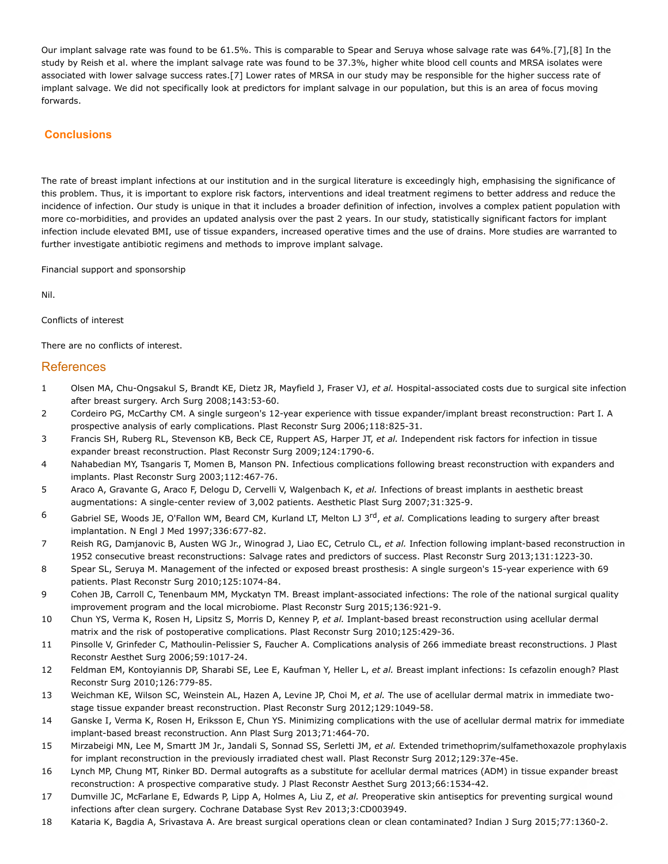Our implant salvage rate was found to be 61.5%. This is comparable to Spear and Seruya whose salvage rate was 64%.[7],[8] In the study by Reish et al. where the implant salvage rate was found to be 37.3%, higher white blood cell counts and MRSA isolates were associated with lower salvage success rates.[7] Lower rates of MRSA in our study may be responsible for the higher success rate of implant salvage. We did not specifically look at predictors for implant salvage in our population, but this is an area of focus moving forwards.

## **Conclusions**

The rate of breast implant infections at our institution and in the surgical literature is exceedingly high, emphasising the significance of this problem. Thus, it is important to explore risk factors, interventions and ideal treatment regimens to better address and reduce the incidence of infection. Our study is unique in that it includes a broader definition of infection, involves a complex patient population with more co-morbidities, and provides an updated analysis over the past 2 years. In our study, statistically significant factors for implant infection include elevated BMI, use of tissue expanders, increased operative times and the use of drains. More studies are warranted to further investigate antibiotic regimens and methods to improve implant salvage.

Financial support and sponsorship

Nil.

Conflicts of interest

There are no conflicts of interest.

## References

- 1 Olsen MA, Chu-Ongsakul S, Brandt KE, Dietz JR, Mayfield J, Fraser VJ, *et al.* Hospital-associated costs due to surgical site infection after breast surgery. Arch Surg 2008;143:53-60.
- 2 Cordeiro PG, McCarthy CM. A single surgeon's 12-year experience with tissue expander/implant breast reconstruction: Part I. A prospective analysis of early complications. Plast Reconstr Surg 2006;118:825-31.
- 3 Francis SH, Ruberg RL, Stevenson KB, Beck CE, Ruppert AS, Harper JT, *et al.* Independent risk factors for infection in tissue expander breast reconstruction. Plast Reconstr Surg 2009;124:1790-6.
- 4 Nahabedian MY, Tsangaris T, Momen B, Manson PN. Infectious complications following breast reconstruction with expanders and implants. Plast Reconstr Surg 2003;112:467-76.
- 5 Araco A, Gravante G, Araco F, Delogu D, Cervelli V, Walgenbach K, *et al.* Infections of breast implants in aesthetic breast augmentations: A single-center review of 3,002 patients. Aesthetic Plast Surg 2007;31:325-9.
- 6 Gabriel SE, Woods JE, O'Fallon WM, Beard CM, Kurland LT, Melton LJ 3<sup>rd</sup>, et al. Complications leading to surgery after breast implantation. N Engl J Med 1997;336:677-82.
- 7 Reish RG, Damjanovic B, Austen WG Jr., Winograd J, Liao EC, Cetrulo CL, *et al.* Infection following implant-based reconstruction in 1952 consecutive breast reconstructions: Salvage rates and predictors of success. Plast Reconstr Surg 2013;131:1223-30.
- 8 Spear SL, Seruya M. Management of the infected or exposed breast prosthesis: A single surgeon's 15-year experience with 69 patients. Plast Reconstr Surg 2010;125:1074-84.
- 9 Cohen JB, Carroll C, Tenenbaum MM, Myckatyn TM. Breast implant-associated infections: The role of the national surgical quality improvement program and the local microbiome. Plast Reconstr Surg 2015;136:921-9.
- 10 Chun YS, Verma K, Rosen H, Lipsitz S, Morris D, Kenney P, *et al.* Implant-based breast reconstruction using acellular dermal matrix and the risk of postoperative complications. Plast Reconstr Surg 2010;125:429-36.
- 11 Pinsolle V, Grinfeder C, Mathoulin-Pelissier S, Faucher A. Complications analysis of 266 immediate breast reconstructions. J Plast Reconstr Aesthet Surg 2006;59:1017-24.
- 12 Feldman EM, Kontoyiannis DP, Sharabi SE, Lee E, Kaufman Y, Heller L, *et al.* Breast implant infections: Is cefazolin enough? Plast Reconstr Surg 2010;126:779-85.
- 13 Weichman KE, Wilson SC, Weinstein AL, Hazen A, Levine JP, Choi M, *et al.* The use of acellular dermal matrix in immediate twostage tissue expander breast reconstruction. Plast Reconstr Surg 2012;129:1049-58.
- 14 Ganske I, Verma K, Rosen H, Eriksson E, Chun YS. Minimizing complications with the use of acellular dermal matrix for immediate implant-based breast reconstruction. Ann Plast Surg 2013;71:464-70.
- 15 Mirzabeigi MN, Lee M, Smartt JM Jr., Jandali S, Sonnad SS, Serletti JM, *et al.* Extended trimethoprim/sulfamethoxazole prophylaxis for implant reconstruction in the previously irradiated chest wall. Plast Reconstr Surg 2012;129:37e-45e.
- 16 Lynch MP, Chung MT, Rinker BD. Dermal autografts as a substitute for acellular dermal matrices (ADM) in tissue expander breast reconstruction: A prospective comparative study. J Plast Reconstr Aesthet Surg 2013;66:1534-42.
- 17 Dumville JC, McFarlane E, Edwards P, Lipp A, Holmes A, Liu Z, *et al.* Preoperative skin antiseptics for preventing surgical wound infections after clean surgery. Cochrane Database Syst Rev 2013;3:CD003949.
- 18 Kataria K, Bagdia A, Srivastava A. Are breast surgical operations clean or clean contaminated? Indian J Surg 2015;77:1360-2.